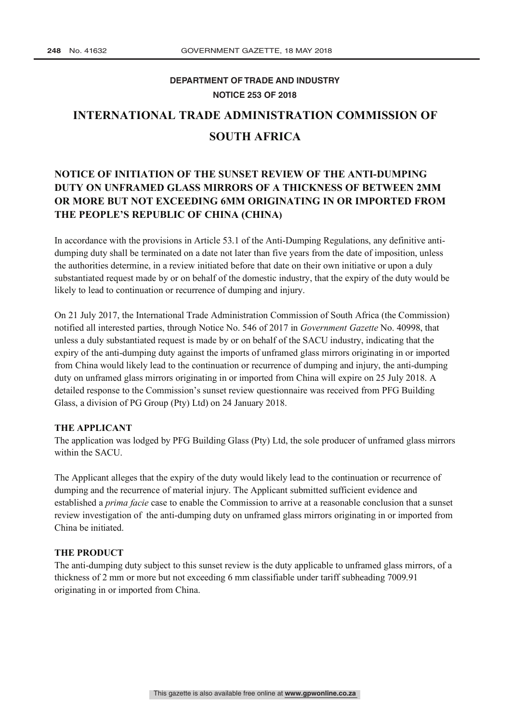## **DEPARTMENT OF TRADE AND INDUSTRY NOTICE 253 OF 2018**

# **INTERNATIONAL TRADE ADMINISTRATION COMMISSION OF SOUTH AFRICA**

### **NOTICE OF INITIATION OF THE SUNSET REVIEW OF THE ANTI-DUMPING DUTY ON UNFRAMED GLASS MIRRORS OF A THICKNESS OF BETWEEN 2MM OR MORE BUT NOT EXCEEDING 6MM ORIGINATING IN OR IMPORTED FROM THE PEOPLE'S REPUBLIC OF CHINA (CHINA)**

In accordance with the provisions in Article 53.1 of the Anti-Dumping Regulations, any definitive antidumping duty shall be terminated on a date not later than five years from the date of imposition, unless the authorities determine, in a review initiated before that date on their own initiative or upon a duly substantiated request made by or on behalf of the domestic industry, that the expiry of the duty would be likely to lead to continuation or recurrence of dumping and injury.

On 21 July 2017, the International Trade Administration Commission of South Africa (the Commission) notified all interested parties, through Notice No. 546 of 2017 in *Government Gazette* No. 40998, that unless a duly substantiated request is made by or on behalf of the SACU industry, indicating that the expiry of the anti-dumping duty against the imports of unframed glass mirrors originating in or imported from China would likely lead to the continuation or recurrence of dumping and injury, the anti-dumping duty on unframed glass mirrors originating in or imported from China will expire on 25 July 2018. A detailed response to the Commission's sunset review questionnaire was received from PFG Building Glass, a division of PG Group (Pty) Ltd) on 24 January 2018.

#### **THE APPLICANT**

The application was lodged by PFG Building Glass (Pty) Ltd, the sole producer of unframed glass mirrors within the SACU.

The Applicant alleges that the expiry of the duty would likely lead to the continuation or recurrence of dumping and the recurrence of material injury. The Applicant submitted sufficient evidence and established a *prima facie* case to enable the Commission to arrive at a reasonable conclusion that a sunset review investigation of the anti-dumping duty on unframed glass mirrors originating in or imported from China be initiated.

#### **THE PRODUCT**

The anti-dumping duty subject to this sunset review is the duty applicable to unframed glass mirrors, of a thickness of 2 mm or more but not exceeding 6 mm classifiable under tariff subheading 7009.91 originating in or imported from China.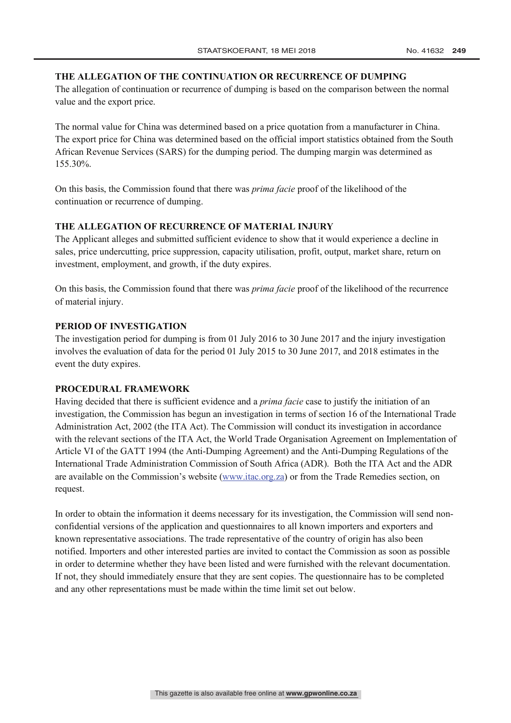#### **THE ALLEGATION OF THE CONTINUATION OR RECURRENCE OF DUMPING**

The allegation of continuation or recurrence of dumping is based on the comparison between the normal value and the export price.

The normal value for China was determined based on a price quotation from a manufacturer in China. The export price for China was determined based on the official import statistics obtained from the South African Revenue Services (SARS) for the dumping period. The dumping margin was determined as 155.30%.

On this basis, the Commission found that there was *prima facie* proof of the likelihood of the continuation or recurrence of dumping.

#### **THE ALLEGATION OF RECURRENCE OF MATERIAL INJURY**

The Applicant alleges and submitted sufficient evidence to show that it would experience a decline in sales, price undercutting, price suppression, capacity utilisation, profit, output, market share, return on investment, employment, and growth, if the duty expires.

On this basis, the Commission found that there was *prima facie* proof of the likelihood of the recurrence of material injury.

#### **PERIOD OF INVESTIGATION**

The investigation period for dumping is from 01 July 2016 to 30 June 2017 and the injury investigation involves the evaluation of data for the period 01 July 2015 to 30 June 2017, and 2018 estimates in the event the duty expires.

#### **PROCEDURAL FRAMEWORK**

Having decided that there is sufficient evidence and a *prima facie* case to justify the initiation of an investigation, the Commission has begun an investigation in terms of section 16 of the International Trade Administration Act, 2002 (the ITA Act). The Commission will conduct its investigation in accordance with the relevant sections of the ITA Act, the World Trade Organisation Agreement on Implementation of Article VI of the GATT 1994 (the Anti-Dumping Agreement) and the Anti-Dumping Regulations of the International Trade Administration Commission of South Africa (ADR). Both the ITA Act and the ADR are available on the Commission's website (www.itac.org.za) or from the Trade Remedies section, on request.

In order to obtain the information it deems necessary for its investigation, the Commission will send nonconfidential versions of the application and questionnaires to all known importers and exporters and known representative associations. The trade representative of the country of origin has also been notified. Importers and other interested parties are invited to contact the Commission as soon as possible in order to determine whether they have been listed and were furnished with the relevant documentation. If not, they should immediately ensure that they are sent copies. The questionnaire has to be completed and any other representations must be made within the time limit set out below.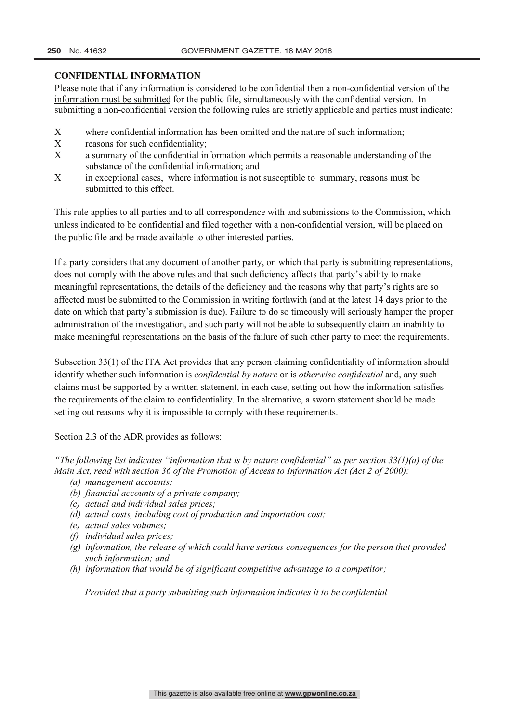#### **CONFIDENTIAL INFORMATION**

Please note that if any information is considered to be confidential then a non-confidential version of the information must be submitted for the public file, simultaneously with the confidential version. In submitting a non-confidential version the following rules are strictly applicable and parties must indicate:

- $X$  where confidential information has been omitted and the nature of such information;
- $X$  reasons for such confidentiality;
- $X$  a summary of the confidential information which permits a reasonable understanding of the substance of the confidential information; and
- X in exceptional cases, where information is not susceptible to summary, reasons must be submitted to this effect.

This rule applies to all parties and to all correspondence with and submissions to the Commission, which unless indicated to be confidential and filed together with a non-confidential version, will be placed on the public file and be made available to other interested parties.

If a party considers that any document of another party, on which that party is submitting representations, does not comply with the above rules and that such deficiency affects that party's ability to make meaningful representations, the details of the deficiency and the reasons why that party's rights are so affected must be submitted to the Commission in writing forthwith (and at the latest 14 days prior to the date on which that party's submission is due). Failure to do so timeously will seriously hamper the proper administration of the investigation, and such party will not be able to subsequently claim an inability to make meaningful representations on the basis of the failure of such other party to meet the requirements.

Subsection 33(1) of the ITA Act provides that any person claiming confidentiality of information should identify whether such information is *confidential by nature* or is *otherwise confidential* and, any such claims must be supported by a written statement, in each case, setting out how the information satisfies the requirements of the claim to confidentiality. In the alternative, a sworn statement should be made setting out reasons why it is impossible to comply with these requirements.

Section 2.3 of the ADR provides as follows:

*"The following list indicates "information that is by nature confidential" as per section 33(1)(a) of the Main Act, read with section 36 of the Promotion of Access to Information Act (Act 2 of 2000):*

- *(a) management accounts;*
- *(b) financial accounts of a private company;*
- *(c) actual and individual sales prices;*
- *(d) actual costs, including cost of production and importation cost;*
- *(e) actual sales volumes;*
- *(f) individual sales prices;*
- *(g) information, the release of which could have serious consequences for the person that provided such information; and*
- *(h) information that would be of significant competitive advantage to a competitor;*

*Provided that a party submitting such information indicates it to be confidential*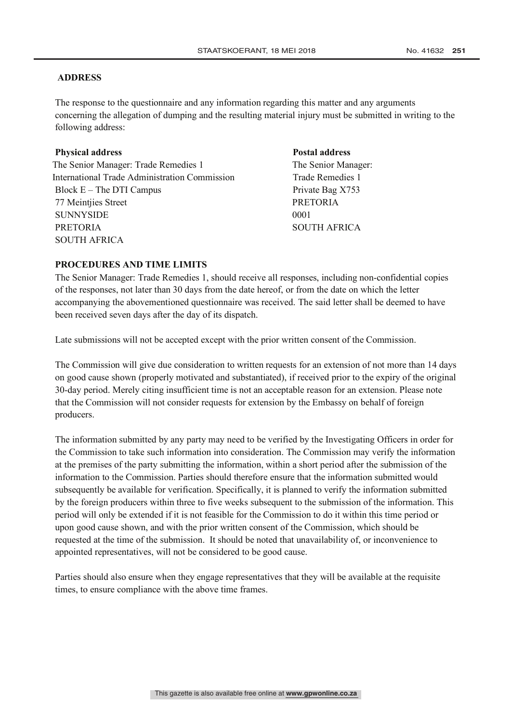#### **ADDRESS**

The response to the questionnaire and any information regarding this matter and any arguments concerning the allegation of dumping and the resulting material injury must be submitted in writing to the following address:

#### **Physical address Postal address**

The Senior Manager: Trade Remedies 1 The Senior Manager: International Trade Administration Commission Trade Remedies 1 Block E – The DTI Campus Private Bag X753 77 Meintiies Street PRETORIA SUNNYSIDE 0001 PRETORIA SOUTH AFRICA SOUTH AFRICA

#### **PROCEDURES AND TIME LIMITS**

The Senior Manager: Trade Remedies 1, should receive all responses, including non-confidential copies of the responses, not later than 30 days from the date hereof, or from the date on which the letter accompanying the abovementioned questionnaire was received. The said letter shall be deemed to have been received seven days after the day of its dispatch.

Late submissions will not be accepted except with the prior written consent of the Commission.

The Commission will give due consideration to written requests for an extension of not more than 14 days on good cause shown (properly motivated and substantiated), if received prior to the expiry of the original 30-day period. Merely citing insufficient time is not an acceptable reason for an extension. Please note that the Commission will not consider requests for extension by the Embassy on behalf of foreign producers.

The information submitted by any party may need to be verified by the Investigating Officers in order for the Commission to take such information into consideration. The Commission may verify the information at the premises of the party submitting the information, within a short period after the submission of the information to the Commission. Parties should therefore ensure that the information submitted would subsequently be available for verification. Specifically, it is planned to verify the information submitted by the foreign producers within three to five weeks subsequent to the submission of the information. This period will only be extended if it is not feasible for the Commission to do it within this time period or upon good cause shown, and with the prior written consent of the Commission, which should be requested at the time of the submission. It should be noted that unavailability of, or inconvenience to appointed representatives, will not be considered to be good cause.

Parties should also ensure when they engage representatives that they will be available at the requisite times, to ensure compliance with the above time frames.